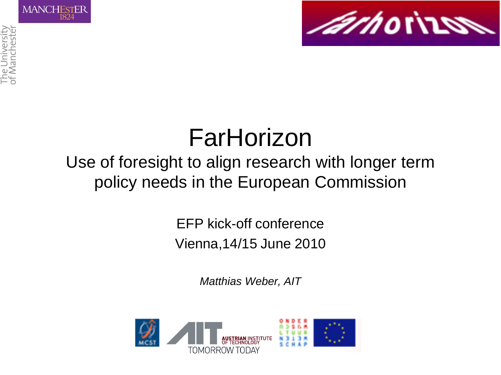



## FarHorizon

#### Use of foresight to align research with longer term policy needs in the European Commission

#### EFP kick-off conference Vienna,14/15 June 2010

*Matthias Weber, AIT*

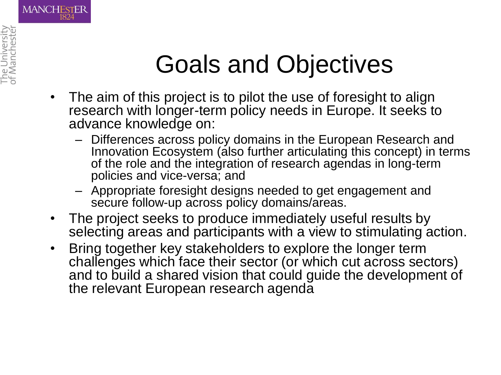# Goals and Objectives

- The aim of this project is to pilot the use of foresight to align research with longer-term policy needs in Europe. It seeks to advance knowledge on:
	- Differences across policy domains in the European Research and Innovation Ecosystem (also further articulating this concept) in terms of the role and the integration of research agendas in long-term policies and vice-versa; and
	- Appropriate foresight designs needed to get engagement and secure follow-up across policy domains/areas.
- The project seeks to produce immediately useful results by selecting areas and participants with a view to stimulating action.
- Bring together key stakeholders to explore the longer term challenges which face their sector (or which cut across sectors) and to build a shared vision that could guide the development of the relevant European research agenda

**MANCHESTER** 1824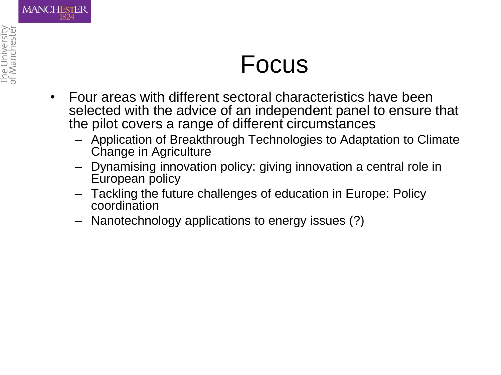

## Focus

- Four areas with different sectoral characteristics have been selected with the advice of an independent panel to ensure that the pilot covers a range of different circumstances
	- Application of Breakthrough Technologies to Adaptation to Climate Change in Agriculture
	- Dynamising innovation policy: giving innovation a central role in European policy
	- Tackling the future challenges of education in Europe: Policy coordination
	- Nanotechnology applications to energy issues (?)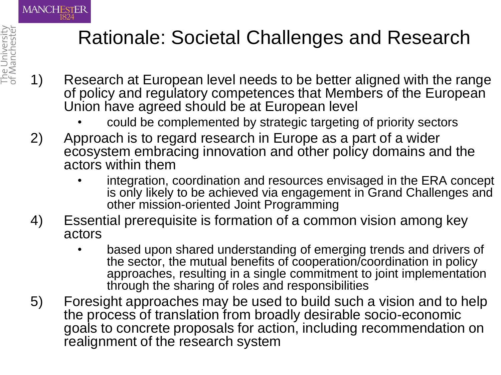**MANCHESTER** 1824

### Rationale: Societal Challenges and Research

- 1) Research at European level needs to be better aligned with the range of policy and regulatory competences that Members of the European Union have agreed should be at European level
	- could be complemented by strategic targeting of priority sectors
- 2) Approach is to regard research in Europe as a part of a wider ecosystem embracing innovation and other policy domains and the actors within them
	- integration, coordination and resources envisaged in the ERA concept is only likely to be achieved via engagement in Grand Challenges and other mission-oriented Joint Programming
- 4) Essential prerequisite is formation of a common vision among key actors
	- based upon shared understanding of emerging trends and drivers of the sector, the mutual benefits of cooperation/coordination in policy approaches, resulting in a single commitment to joint implementation through the sharing of roles and responsibilities
- 5) Foresight approaches may be used to build such a vision and to help the process of translation from broadly desirable socio-economic goals to concrete proposals for action, including recommendation on realignment of the research system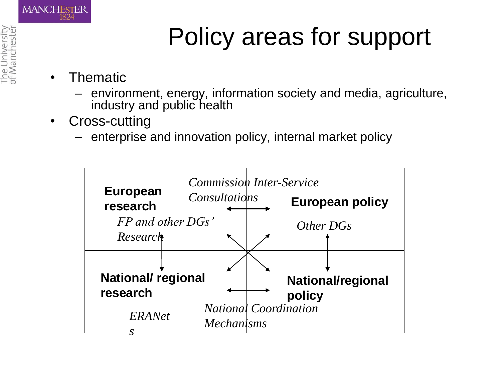

# Policy areas for support

- **Thematic** 
	- environment, energy, information society and media, agriculture, industry and public health
- Cross-cutting
	- enterprise and innovation policy, internal market policy

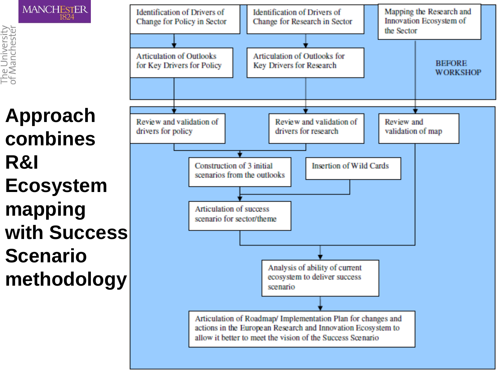

**Approach combines R&I Ecosystem mapping with Success Scenario methodology**

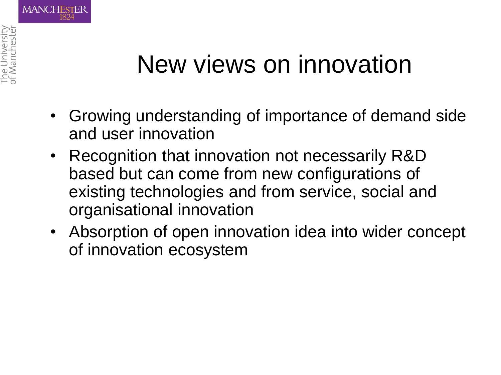

- Growing understanding of importance of demand side and user innovation
- Recognition that innovation not necessarily R&D based but can come from new configurations of existing technologies and from service, social and organisational innovation
- Absorption of open innovation idea into wider concept of innovation ecosystem

**MANCHESTER**